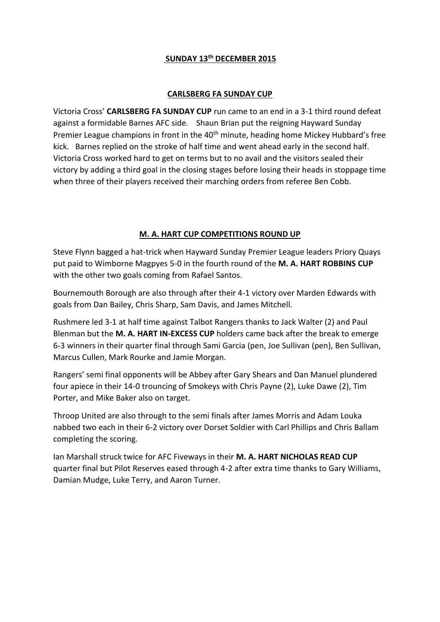## **SUNDAY 13th DECEMBER 2015**

## **CARLSBERG FA SUNDAY CUP**

Victoria Cross' **CARLSBERG FA SUNDAY CUP** run came to an end in a 3-1 third round defeat against a formidable Barnes AFC side. Shaun Brian put the reigning Hayward Sunday Premier League champions in front in the 40<sup>th</sup> minute, heading home Mickey Hubbard's free kick. Barnes replied on the stroke of half time and went ahead early in the second half. Victoria Cross worked hard to get on terms but to no avail and the visitors sealed their victory by adding a third goal in the closing stages before losing their heads in stoppage time when three of their players received their marching orders from referee Ben Cobb.

## **M. A. HART CUP COMPETITIONS ROUND UP**

Steve Flynn bagged a hat-trick when Hayward Sunday Premier League leaders Priory Quays put paid to Wimborne Magpyes 5-0 in the fourth round of the **M. A. HART ROBBINS CUP** with the other two goals coming from Rafael Santos.

Bournemouth Borough are also through after their 4-1 victory over Marden Edwards with goals from Dan Bailey, Chris Sharp, Sam Davis, and James Mitchell.

Rushmere led 3-1 at half time against Talbot Rangers thanks to Jack Walter (2) and Paul Blenman but the **M. A. HART IN-EXCESS CUP** holders came back after the break to emerge 6-3 winners in their quarter final through Sami Garcia (pen, Joe Sullivan (pen), Ben Sullivan, Marcus Cullen, Mark Rourke and Jamie Morgan.

Rangers' semi final opponents will be Abbey after Gary Shears and Dan Manuel plundered four apiece in their 14-0 trouncing of Smokeys with Chris Payne (2), Luke Dawe (2), Tim Porter, and Mike Baker also on target.

Throop United are also through to the semi finals after James Morris and Adam Louka nabbed two each in their 6-2 victory over Dorset Soldier with Carl Phillips and Chris Ballam completing the scoring.

Ian Marshall struck twice for AFC Fiveways in their **M. A. HART NICHOLAS READ CUP** quarter final but Pilot Reserves eased through 4-2 after extra time thanks to Gary Williams, Damian Mudge, Luke Terry, and Aaron Turner.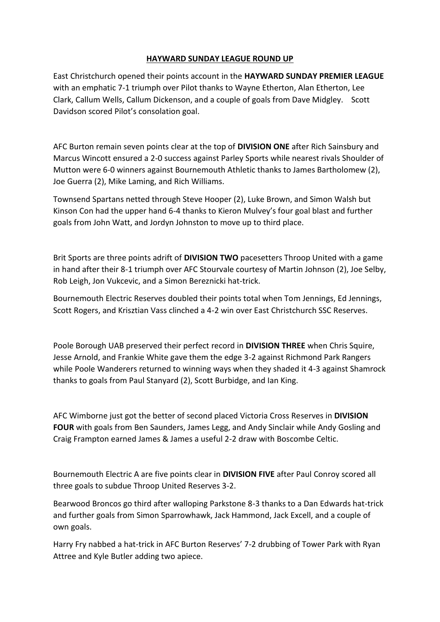## **HAYWARD SUNDAY LEAGUE ROUND UP**

East Christchurch opened their points account in the **HAYWARD SUNDAY PREMIER LEAGUE** with an emphatic 7-1 triumph over Pilot thanks to Wayne Etherton, Alan Etherton, Lee Clark, Callum Wells, Callum Dickenson, and a couple of goals from Dave Midgley. Scott Davidson scored Pilot's consolation goal.

AFC Burton remain seven points clear at the top of **DIVISION ONE** after Rich Sainsbury and Marcus Wincott ensured a 2-0 success against Parley Sports while nearest rivals Shoulder of Mutton were 6-0 winners against Bournemouth Athletic thanks to James Bartholomew (2), Joe Guerra (2), Mike Laming, and Rich Williams.

Townsend Spartans netted through Steve Hooper (2), Luke Brown, and Simon Walsh but Kinson Con had the upper hand 6-4 thanks to Kieron Mulvey's four goal blast and further goals from John Watt, and Jordyn Johnston to move up to third place.

Brit Sports are three points adrift of **DIVISION TWO** pacesetters Throop United with a game in hand after their 8-1 triumph over AFC Stourvale courtesy of Martin Johnson (2), Joe Selby, Rob Leigh, Jon Vukcevic, and a Simon Bereznicki hat-trick.

Bournemouth Electric Reserves doubled their points total when Tom Jennings, Ed Jennings, Scott Rogers, and Krisztian Vass clinched a 4-2 win over East Christchurch SSC Reserves.

Poole Borough UAB preserved their perfect record in **DIVISION THREE** when Chris Squire, Jesse Arnold, and Frankie White gave them the edge 3-2 against Richmond Park Rangers while Poole Wanderers returned to winning ways when they shaded it 4-3 against Shamrock thanks to goals from Paul Stanyard (2), Scott Burbidge, and Ian King.

AFC Wimborne just got the better of second placed Victoria Cross Reserves in **DIVISION FOUR** with goals from Ben Saunders, James Legg, and Andy Sinclair while Andy Gosling and Craig Frampton earned James & James a useful 2-2 draw with Boscombe Celtic.

Bournemouth Electric A are five points clear in **DIVISION FIVE** after Paul Conroy scored all three goals to subdue Throop United Reserves 3-2.

Bearwood Broncos go third after walloping Parkstone 8-3 thanks to a Dan Edwards hat-trick and further goals from Simon Sparrowhawk, Jack Hammond, Jack Excell, and a couple of own goals.

Harry Fry nabbed a hat-trick in AFC Burton Reserves' 7-2 drubbing of Tower Park with Ryan Attree and Kyle Butler adding two apiece.